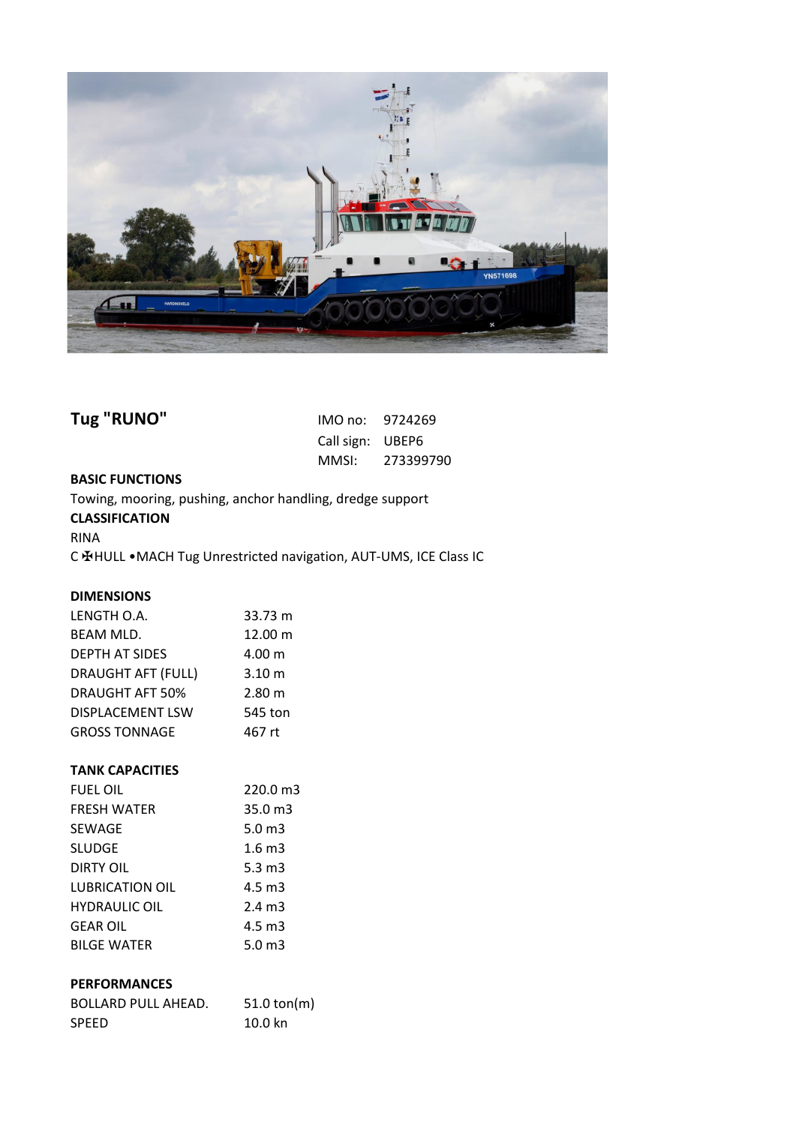

| Tug "RUNO"                                                |                  | IMO no: 9724269 |
|-----------------------------------------------------------|------------------|-----------------|
|                                                           | Call sign: UBEP6 |                 |
|                                                           |                  | MMSI: 273399790 |
| <b>BASIC FUNCTIONS</b>                                    |                  |                 |
| Towing, mooring, pushing, anchor handling, dredge support |                  |                 |

## **CLASSIFICATION**

RINA

C ✠HULL •MACH Tug Unrestricted navigation, AUT-UMS, ICE Class IC

# **DIMENSIONS**

| LENGTH O.A.               | 33.73 m           |
|---------------------------|-------------------|
| <b>BEAM MLD.</b>          | 12.00 m           |
| <b>DEPTH AT SIDES</b>     | 4.00 m            |
| <b>DRAUGHT AFT (FULL)</b> | 3.10 <sub>m</sub> |
| <b>DRAUGHT AFT 50%</b>    | 2.80 m            |
| <b>DISPLACEMENT LSW</b>   | 545 ton           |
| <b>GROSS TONNAGE</b>      | 467 rt            |

# **TANK CAPACITIES**

| <b>FUEL OIL</b>        | 220.0 m3           |
|------------------------|--------------------|
| <b>FRESH WATER</b>     | $35.0 \text{ m}$ 3 |
| SEWAGE                 | 5.0 $m3$           |
| <b>SLUDGE</b>          | 1.6 <sub>m3</sub>  |
| DIRTY OIL              | $5.3 \text{ m}$ 3  |
| <b>LUBRICATION OIL</b> | $4.5 \text{ m}$ 3  |
| <b>HYDRAULIC OIL</b>   | $2.4 \text{ m}$ 3  |
| <b>GEAR OIL</b>        | $4.5 \text{ m}$ 3  |
| <b>BILGE WATER</b>     | 5.0 $m3$           |

# **PERFORMANCES**

| <b>BOLLARD PULL AHEAD.</b> | $51.0 \text{ ton(m)}$ |
|----------------------------|-----------------------|
| <b>SPEED</b>               | 10.0 kn               |